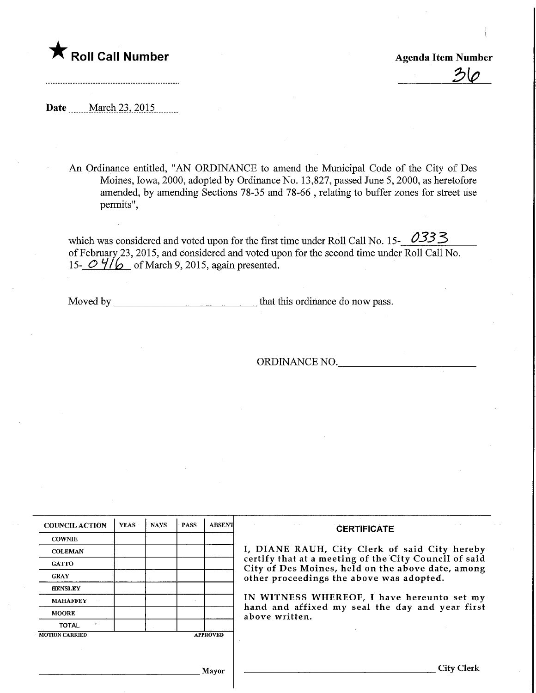## **The Roll Call Number Agents Container Agents Agents Item Number**

 $2\sigma$ 

Date **March 23, 2015** 

An Ordinance entitled, "AN ORDINANCE to amend the Municipal Code of the City of Des Moines, Iowa, 2000, adopted by Ordinance No. 13,827, passed June 5, 2000, as heretofore amended, by amending Sections 78-35 and 78-66 , relating to buffer zones for street use permits",

which was considered and voted upon for the first time under Roll Call No. 15- $\frac{0333}{8}$ of February 23, 2015, and considered and voted upon for the second time under Roll Call No. 15-  $O$   $4/6$  of March 9, 2015, again presented.

Moved by  $\frac{1}{\sqrt{1-\frac{1}{\sqrt{1-\frac{1}{\sqrt{1-\frac{1}{\sqrt{1-\frac{1}{\sqrt{1-\frac{1}{\sqrt{1-\frac{1}{\sqrt{1-\frac{1}{\sqrt{1-\frac{1}{\sqrt{1-\frac{1}{\sqrt{1-\frac{1}{\sqrt{1-\frac{1}{\sqrt{1-\frac{1}{\sqrt{1-\frac{1}{\sqrt{1-\frac{1}{\sqrt{1-\frac{1}{\sqrt{1-\frac{1}{\sqrt{1-\frac{1}{\sqrt{1-\frac{1}{\sqrt{1-\frac{1}{\sqrt{1-\frac{1}{\sqrt{1-\frac{1}{\sqrt{1-\frac{1}{\sqrt{1-\frac{1}{$ 

ORDINANCE NO.

| <b>COUNCIL ACTION</b>                    | <b>YEAS</b> | <b>NAYS</b> | <b>PASS</b> | <b>ABSENT</b> | <b>CERTIFICATE</b>                                                                                                                                                                                                                                                                                                         |
|------------------------------------------|-------------|-------------|-------------|---------------|----------------------------------------------------------------------------------------------------------------------------------------------------------------------------------------------------------------------------------------------------------------------------------------------------------------------------|
| <b>COWNIE</b>                            |             |             |             |               | I, DIANE RAUH, City Clerk of said City hereby<br>certify that at a meeting of the City Council of said<br>City of Des Moines, held on the above date, among<br>other proceedings the above was adopted.<br>IN WITNESS WHEREOF, I have hereunto set my<br>hand and affixed my seal the day and year first<br>above written. |
| <b>COLEMAN</b>                           |             |             |             |               |                                                                                                                                                                                                                                                                                                                            |
| <b>GATTO</b>                             |             |             |             |               |                                                                                                                                                                                                                                                                                                                            |
| <b>GRAY</b>                              |             |             |             |               |                                                                                                                                                                                                                                                                                                                            |
| <b>HENSLEY</b>                           |             |             |             |               |                                                                                                                                                                                                                                                                                                                            |
| <b>MAHAFFEY</b>                          |             |             |             |               |                                                                                                                                                                                                                                                                                                                            |
| <b>MOORE</b>                             |             |             |             |               |                                                                                                                                                                                                                                                                                                                            |
| v<br><b>TOTAL</b>                        |             |             |             |               |                                                                                                                                                                                                                                                                                                                            |
| <b>MOTION CARRIED</b><br><b>APPROVED</b> |             |             |             |               |                                                                                                                                                                                                                                                                                                                            |
|                                          |             |             |             |               |                                                                                                                                                                                                                                                                                                                            |
|                                          |             |             |             |               |                                                                                                                                                                                                                                                                                                                            |
| Mavor                                    |             |             |             |               | City                                                                                                                                                                                                                                                                                                                       |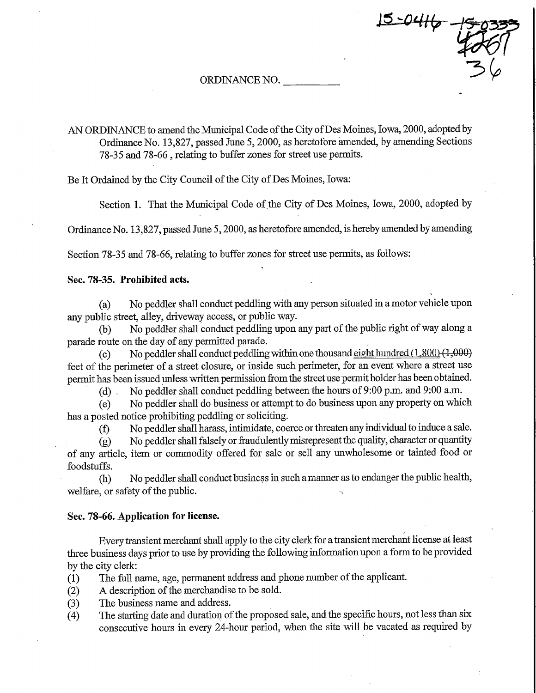ORDINANCE NO.

AN ORDINANCE to amend the Municipal Code of the City of Des Moines, Iowa, 2000, adopted by Ordinance No. 13,827, passed June 5, 2000, as heretofore amended, by amending Sections 78-35 and 78-66 , relating to buffer zones for street use permits.

Be It Ordained by the City Council of the City of Des Moines, Iowa:

Section 1. That the Municipal Code of the City of Des Moines, Iowa, 2000, adopted by

 $15 - 0416$ 

Ordinance No. 13,827, passed June 5,2000, as heretofore amended, is hereby amended by amending

Section 78-35 and 78-66, relating to buffer zones for street use permits, as follows:

## Sec. 78-35. Prohibited acts.

(a) No peddler shall conduct peddling with any person situated in a motor vehicle upon any public street, alley, driveway access, or public way.

(b) No peddler shall conduct peddling upon any part of fhe public right of way along a parade route on the day of any permitted parade.

(c) No peddler shall conduct peddling within one thousand eight hundred  $(1.800)$   $(1,000)$ feet of the perimeter of a street closure, or inside such perimeter, for an event where a street use permit has been issued unless written permission from the street use permit holder has been obtained.

(d) , No peddler shall conduct peddling between the hours of 9:00 p.m. and 9:00 a.m.

(e) No peddler shaU do business or attempt to do business upon any property on which has a posted notice prohibiting peddling or soliciting.

(f) No peddler shall harass, intimidate, coerce or threaten any mdividual to induce a sale.

 $(g)$  No peddler shall falsely or fraudulently misrepresent the quality, character or quantity of any article, item or commodity offered for sale or sell any unwholesome or tainted food or foodstuffs.

(h) No peddler shall conduct business in such a manner as to endanger the public health, welfare, or safety of the public.

## Sec. 78-66. Application for license.

Every transient merchant shall apply to fhe city clerk for a transient merchant license at least three business days prior to use by providing the following information upon a form to be provided by fhe city clerk:

- (1) The fall name, age, permanent address and phone number of the applicant.
- (2) A description of the merchandise to be sold.
- (3) The business name and address.
- (4) The starting date and duration of the proposed sale, and the specific hours, not less than six consecutive hours in every 24-hour period, when the site will be vacated as required by